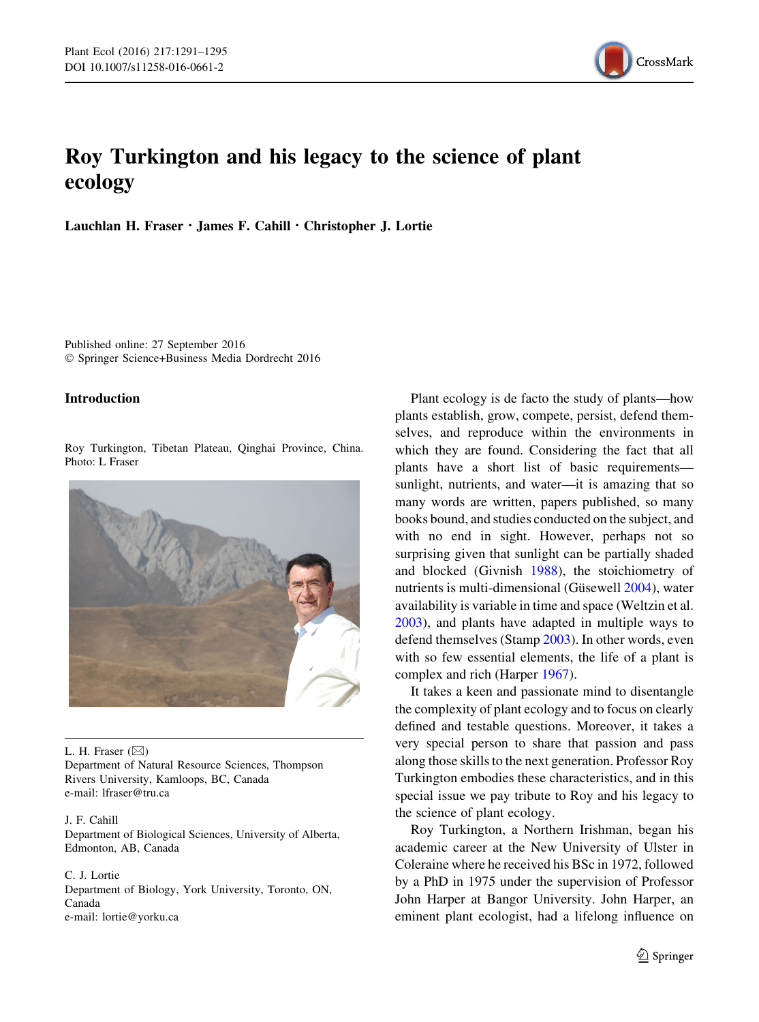

## Roy Turkington and his legacy to the science of plant ecology

Lauchlan H. Fraser · James F. Cahill · Christopher J. Lortie

Published online: 27 September 2016 - Springer Science+Business Media Dordrecht 2016

### Introduction

Roy Turkington, Tibetan Plateau, Qinghai Province, China. Photo: L Fraser



L. H. Fraser  $(\boxtimes)$ Department of Natural Resource Sciences, Thompson Rivers University, Kamloops, BC, Canada e-mail: lfraser@tru.ca

#### J. F. Cahill

Department of Biological Sciences, University of Alberta, Edmonton, AB, Canada

C. J. Lortie Department of Biology, York University, Toronto, ON, Canada e-mail: lortie@yorku.ca

Plant ecology is de facto the study of plants—how plants establish, grow, compete, persist, defend themselves, and reproduce within the environments in which they are found. Considering the fact that all plants have a short list of basic requirements sunlight, nutrients, and water—it is amazing that so many words are written, papers published, so many books bound, and studies conducted on the subject, and with no end in sight. However, perhaps not so surprising given that sunlight can be partially shaded and blocked (Givnish [1988](#page-4-0)), the stoichiometry of nutrients is multi-dimensional (Güsewell [2004](#page-4-0)), water availability is variable in time and space (Weltzin et al. [2003\)](#page-4-0), and plants have adapted in multiple ways to defend themselves (Stamp [2003\)](#page-4-0). In other words, even with so few essential elements, the life of a plant is complex and rich (Harper [1967](#page-4-0)).

It takes a keen and passionate mind to disentangle the complexity of plant ecology and to focus on clearly defined and testable questions. Moreover, it takes a very special person to share that passion and pass along those skills to the next generation. Professor Roy Turkington embodies these characteristics, and in this special issue we pay tribute to Roy and his legacy to the science of plant ecology.

Roy Turkington, a Northern Irishman, began his academic career at the New University of Ulster in Coleraine where he received his BSc in 1972, followed by a PhD in 1975 under the supervision of Professor John Harper at Bangor University. John Harper, an eminent plant ecologist, had a lifelong influence on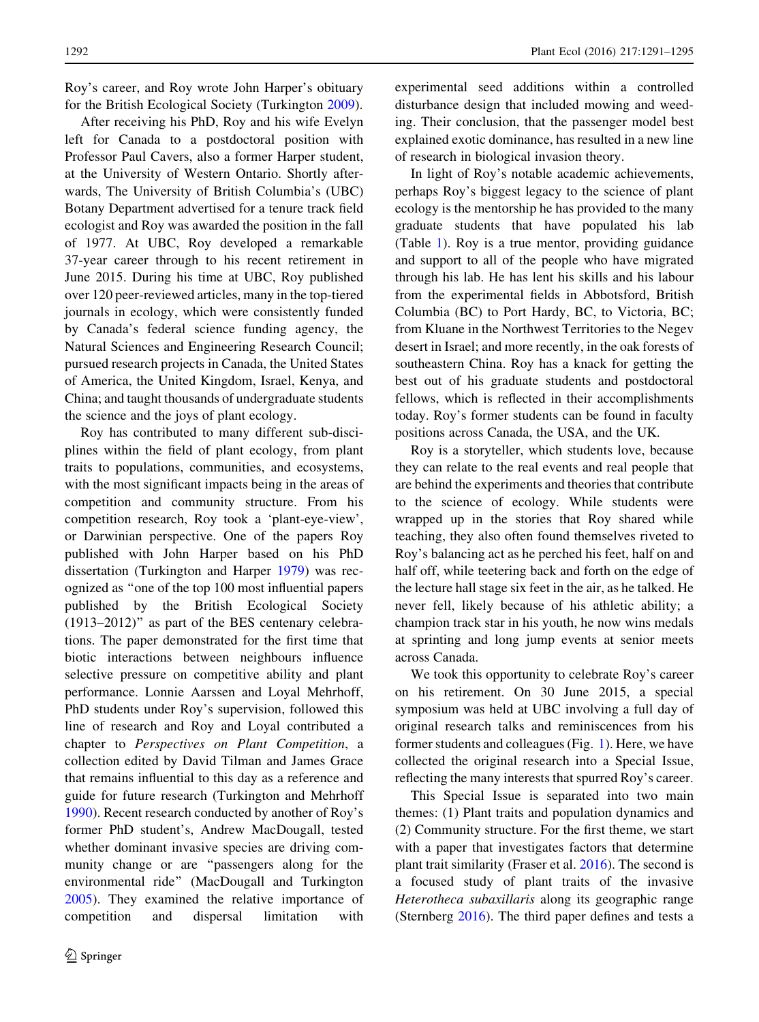Roy's career, and Roy wrote John Harper's obituary for the British Ecological Society (Turkington [2009\)](#page-4-0).

After receiving his PhD, Roy and his wife Evelyn left for Canada to a postdoctoral position with Professor Paul Cavers, also a former Harper student, at the University of Western Ontario. Shortly afterwards, The University of British Columbia's (UBC) Botany Department advertised for a tenure track field ecologist and Roy was awarded the position in the fall of 1977. At UBC, Roy developed a remarkable 37-year career through to his recent retirement in June 2015. During his time at UBC, Roy published over 120 peer-reviewed articles, many in the top-tiered journals in ecology, which were consistently funded by Canada's federal science funding agency, the Natural Sciences and Engineering Research Council; pursued research projects in Canada, the United States of America, the United Kingdom, Israel, Kenya, and China; and taught thousands of undergraduate students the science and the joys of plant ecology.

Roy has contributed to many different sub-disciplines within the field of plant ecology, from plant traits to populations, communities, and ecosystems, with the most significant impacts being in the areas of competition and community structure. From his competition research, Roy took a 'plant-eye-view', or Darwinian perspective. One of the papers Roy published with John Harper based on his PhD dissertation (Turkington and Harper [1979\)](#page-4-0) was recognized as ''one of the top 100 most influential papers published by the British Ecological Society (1913–2012)'' as part of the BES centenary celebrations. The paper demonstrated for the first time that biotic interactions between neighbours influence selective pressure on competitive ability and plant performance. Lonnie Aarssen and Loyal Mehrhoff, PhD students under Roy's supervision, followed this line of research and Roy and Loyal contributed a chapter to Perspectives on Plant Competition, a collection edited by David Tilman and James Grace that remains influential to this day as a reference and guide for future research (Turkington and Mehrhoff [1990\)](#page-4-0). Recent research conducted by another of Roy's former PhD student's, Andrew MacDougall, tested whether dominant invasive species are driving community change or are ''passengers along for the environmental ride'' (MacDougall and Turkington [2005\)](#page-4-0). They examined the relative importance of competition and dispersal limitation with

experimental seed additions within a controlled disturbance design that included mowing and weeding. Their conclusion, that the passenger model best explained exotic dominance, has resulted in a new line of research in biological invasion theory.

In light of Roy's notable academic achievements, perhaps Roy's biggest legacy to the science of plant ecology is the mentorship he has provided to the many graduate students that have populated his lab (Table [1](#page-2-0)). Roy is a true mentor, providing guidance and support to all of the people who have migrated through his lab. He has lent his skills and his labour from the experimental fields in Abbotsford, British Columbia (BC) to Port Hardy, BC, to Victoria, BC; from Kluane in the Northwest Territories to the Negev desert in Israel; and more recently, in the oak forests of southeastern China. Roy has a knack for getting the best out of his graduate students and postdoctoral fellows, which is reflected in their accomplishments today. Roy's former students can be found in faculty positions across Canada, the USA, and the UK.

Roy is a storyteller, which students love, because they can relate to the real events and real people that are behind the experiments and theories that contribute to the science of ecology. While students were wrapped up in the stories that Roy shared while teaching, they also often found themselves riveted to Roy's balancing act as he perched his feet, half on and half off, while teetering back and forth on the edge of the lecture hall stage six feet in the air, as he talked. He never fell, likely because of his athletic ability; a champion track star in his youth, he now wins medals at sprinting and long jump events at senior meets across Canada.

We took this opportunity to celebrate Roy's career on his retirement. On 30 June 2015, a special symposium was held at UBC involving a full day of original research talks and reminiscences from his former students and colleagues (Fig. [1](#page-3-0)). Here, we have collected the original research into a Special Issue, reflecting the many interests that spurred Roy's career.

This Special Issue is separated into two main themes: (1) Plant traits and population dynamics and (2) Community structure. For the first theme, we start with a paper that investigates factors that determine plant trait similarity (Fraser et al. [2016\)](#page-4-0). The second is a focused study of plant traits of the invasive Heterotheca subaxillaris along its geographic range (Sternberg [2016](#page-4-0)). The third paper defines and tests a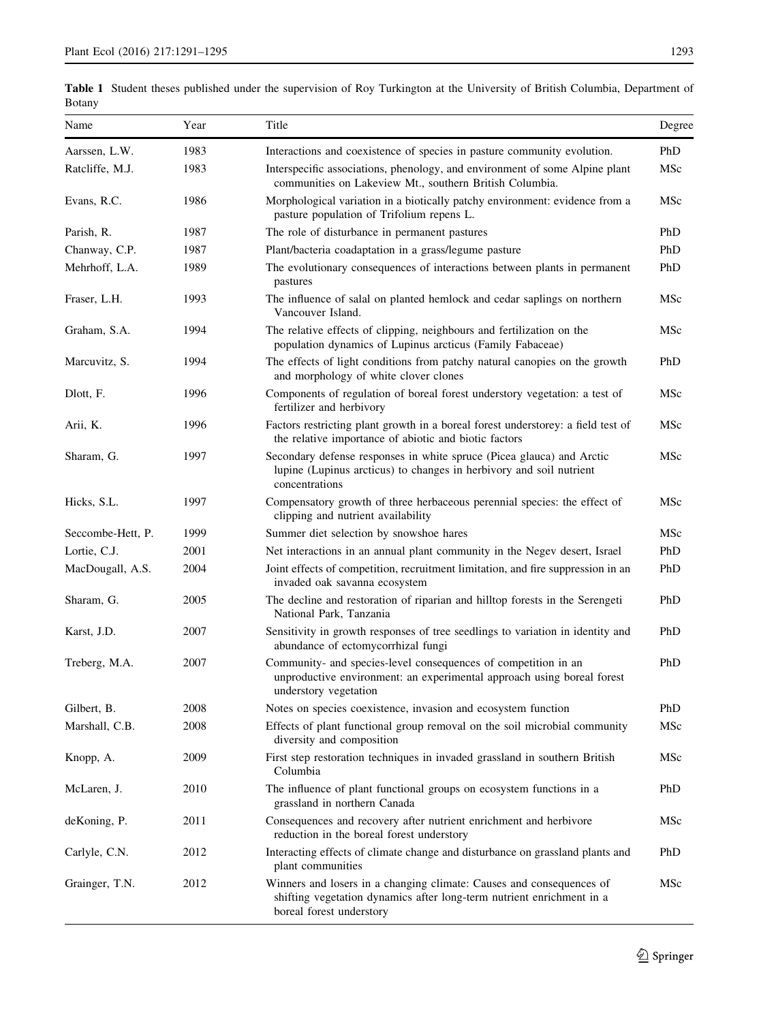<span id="page-2-0"></span>

|               | <b>Table 1</b> Student theses published under the supervision of Roy Turkington at the University of British Columbia. Department of |  |  |  |  |  |  |
|---------------|--------------------------------------------------------------------------------------------------------------------------------------|--|--|--|--|--|--|
| <b>Botany</b> |                                                                                                                                      |  |  |  |  |  |  |

| Name              | Year | Title                                                                                                                                                                     | Degree |
|-------------------|------|---------------------------------------------------------------------------------------------------------------------------------------------------------------------------|--------|
| Aarssen, L.W.     | 1983 | Interactions and coexistence of species in pasture community evolution.                                                                                                   | PhD    |
| Ratcliffe, M.J.   | 1983 | Interspecific associations, phenology, and environment of some Alpine plant<br>communities on Lakeview Mt., southern British Columbia.                                    | MSc    |
| Evans, R.C.       | 1986 | Morphological variation in a biotically patchy environment: evidence from a<br>pasture population of Trifolium repens L.                                                  | MSc    |
| Parish, R.        | 1987 | The role of disturbance in permanent pastures                                                                                                                             | PhD    |
| Chanway, C.P.     | 1987 | Plant/bacteria coadaptation in a grass/legume pasture                                                                                                                     | PhD    |
| Mehrhoff, L.A.    | 1989 | The evolutionary consequences of interactions between plants in permanent<br>pastures                                                                                     | PhD    |
| Fraser, L.H.      | 1993 | The influence of salal on planted hemlock and cedar saplings on northern<br>Vancouver Island.                                                                             | MSc    |
| Graham, S.A.      | 1994 | The relative effects of clipping, neighbours and fertilization on the<br>population dynamics of Lupinus arcticus (Family Fabaceae)                                        | MSc    |
| Marcuvitz, S.     | 1994 | The effects of light conditions from patchy natural canopies on the growth<br>and morphology of white clover clones                                                       | PhD    |
| Dlott, F.         | 1996 | Components of regulation of boreal forest understory vegetation: a test of<br>fertilizer and herbivory                                                                    | MSc    |
| Arii, K.          | 1996 | Factors restricting plant growth in a boreal forest understorey: a field test of<br>the relative importance of abiotic and biotic factors                                 | MSc    |
| Sharam, G.        | 1997 | Secondary defense responses in white spruce (Picea glauca) and Arctic<br>lupine (Lupinus arcticus) to changes in herbivory and soil nutrient<br>concentrations            | MSc    |
| Hicks, S.L.       | 1997 | Compensatory growth of three herbaceous perennial species: the effect of<br>clipping and nutrient availability                                                            | MSc    |
| Seccombe-Hett, P. | 1999 | Summer diet selection by snowshoe hares                                                                                                                                   | MSc    |
| Lortie, C.J.      | 2001 | Net interactions in an annual plant community in the Negev desert, Israel                                                                                                 | PhD    |
| MacDougall, A.S.  | 2004 | Joint effects of competition, recruitment limitation, and fire suppression in an<br>invaded oak savanna ecosystem                                                         | PhD    |
| Sharam, G.        | 2005 | The decline and restoration of riparian and hilltop forests in the Serengeti<br>National Park, Tanzania                                                                   | PhD    |
| Karst, J.D.       | 2007 | Sensitivity in growth responses of tree seedlings to variation in identity and<br>abundance of ectomycorrhizal fungi                                                      | PhD    |
| Treberg, M.A.     | 2007 | Community- and species-level consequences of competition in an<br>unproductive environment: an experimental approach using boreal forest<br>understory vegetation         | PhD    |
| Gilbert, B.       | 2008 | Notes on species coexistence, invasion and ecosystem function                                                                                                             | PhD    |
| Marshall, C.B.    | 2008 | Effects of plant functional group removal on the soil microbial community<br>diversity and composition                                                                    | MSc    |
| Knopp, A.         | 2009 | First step restoration techniques in invaded grassland in southern British<br>Columbia                                                                                    | MSc    |
| McLaren, J.       | 2010 | The influence of plant functional groups on ecosystem functions in a<br>grassland in northern Canada                                                                      | PhD    |
| deKoning, P.      | 2011 | Consequences and recovery after nutrient enrichment and herbivore<br>reduction in the boreal forest understory                                                            | MSc    |
| Carlyle, C.N.     | 2012 | Interacting effects of climate change and disturbance on grassland plants and<br>plant communities                                                                        | PhD    |
| Grainger, T.N.    | 2012 | Winners and losers in a changing climate: Causes and consequences of<br>shifting vegetation dynamics after long-term nutrient enrichment in a<br>boreal forest understory | MSc    |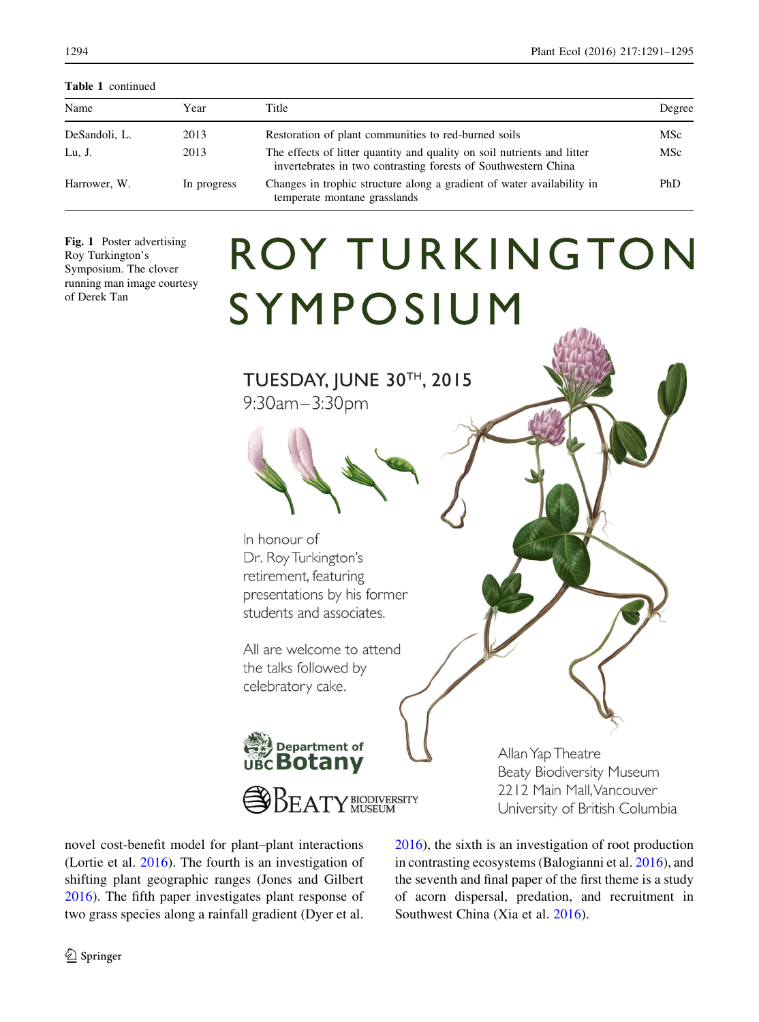<span id="page-3-0"></span>Table 1 continued

| $\mathbf{r}$ and $\mathbf{r}$ continues |                                                                                                                                           |        |  |  |  |  |
|-----------------------------------------|-------------------------------------------------------------------------------------------------------------------------------------------|--------|--|--|--|--|
| Year                                    | Title                                                                                                                                     | Degree |  |  |  |  |
| 2013                                    | Restoration of plant communities to red-burned soils                                                                                      | MSc    |  |  |  |  |
| 2013                                    | The effects of litter quantity and quality on soil nutrients and litter<br>invertebrates in two contrasting forests of Southwestern China | MSc    |  |  |  |  |
| In progress                             | Changes in trophic structure along a gradient of water availability in<br>temperate montane grasslands                                    | PhD    |  |  |  |  |
|                                         |                                                                                                                                           |        |  |  |  |  |

Fig. 1 Poster advertising Roy Turkington's Symposium. The clover running man image courtesy of Derek Tan

# ROY TURKINGTON SYMPOSIUM





In honour of Dr. Roy Turkington's retirement, featuring presentations by his former students and associates.

All are welcome to attend the talks followed by celebratory cake.



Allan Yap Theatre **Beaty Biodiversity Museum** 2212 Main Mall, Vancouver University of British Columbia

novel cost-benefit model for plant–plant interactions (Lortie et al. [2016](#page-4-0)). The fourth is an investigation of shifting plant geographic ranges (Jones and Gilbert [2016\)](#page-4-0). The fifth paper investigates plant response of two grass species along a rainfall gradient (Dyer et al.

[2016\)](#page-4-0), the sixth is an investigation of root production in contrasting ecosystems (Balogianni et al. [2016](#page-4-0)), and the seventh and final paper of the first theme is a study of acorn dispersal, predation, and recruitment in Southwest China (Xia et al. [2016](#page-4-0)).